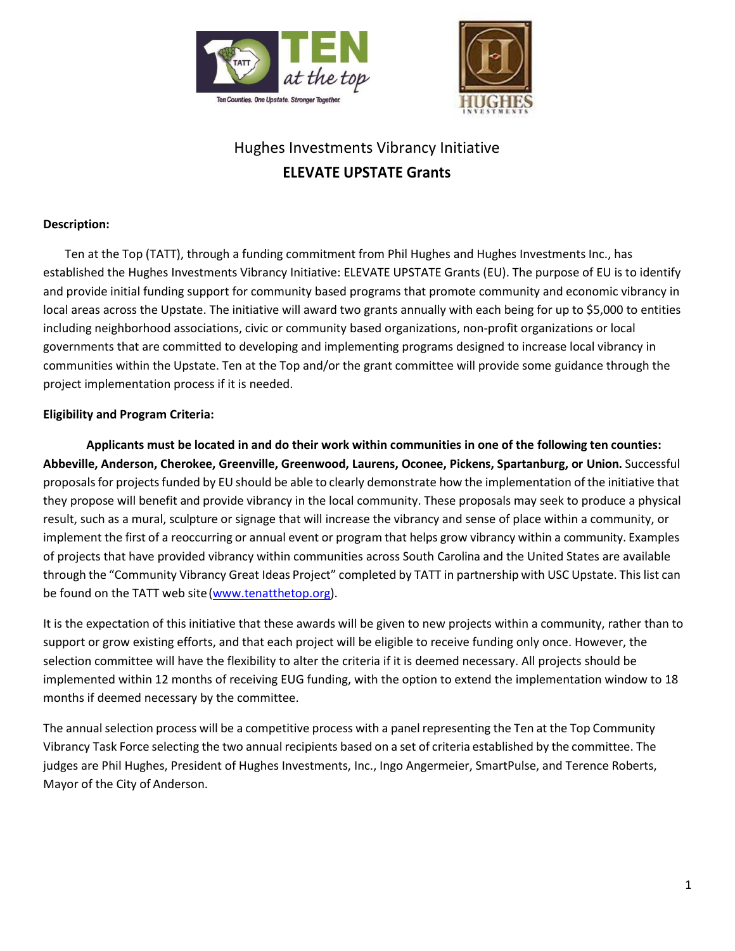



# Hughes Investments Vibrancy Initiative **ELEVATE UPSTATE Grants**

# **Description:**

Ten at the Top (TATT), through a funding commitment from Phil Hughes and Hughes Investments Inc., has established the Hughes Investments Vibrancy Initiative: ELEVATE UPSTATE Grants (EU). The purpose of EU is to identify and provide initial funding support for community based programs that promote community and economic vibrancy in local areas across the Upstate. The initiative will award two grants annually with each being for up to \$5,000 to entities including neighborhood associations, civic or community based organizations, non-profit organizations or local governments that are committed to developing and implementing programs designed to increase local vibrancy in communities within the Upstate. Ten at the Top and/or the grant committee will provide some guidance through the project implementation process if it is needed.

## **Eligibility and Program Criteria:**

**Applicants must be located in and do their work within communities in one of the following ten counties: Abbeville, Anderson, Cherokee, Greenville, Greenwood, Laurens, Oconee, Pickens, Spartanburg, or Union.** Successful proposals for projects funded by EU should be able to clearly demonstrate how the implementation of the initiative that they propose will benefit and provide vibrancy in the local community. These proposals may seek to produce a physical result, such as a mural, sculpture or signage that will increase the vibrancy and sense of place within a community, or implement the first of a reoccurring or annual event or program that helps grow vibrancy within a community. Examples of projects that have provided vibrancy within communities across South Carolina and the United States are available through the "Community Vibrancy Great Ideas Project" completed by TATT in partnership with USC Upstate. Thislist can be found on the TATT web site[\(www.tenatthetop.org\)](http://www.tenatthetop.org/).

It is the expectation of this initiative that these awards will be given to new projects within a community, rather than to support or grow existing efforts, and that each project will be eligible to receive funding only once. However, the selection committee will have the flexibility to alter the criteria if it is deemed necessary. All projects should be implemented within 12 months of receiving EUG funding, with the option to extend the implementation window to 18 months if deemed necessary by the committee.

The annual selection process will be a competitive process with a panel representing the Ten at the Top Community Vibrancy Task Force selecting the two annual recipients based on a set of criteria established by the committee. The judges are Phil Hughes, President of Hughes Investments, Inc., Ingo Angermeier, SmartPulse, and Terence Roberts, Mayor of the City of Anderson.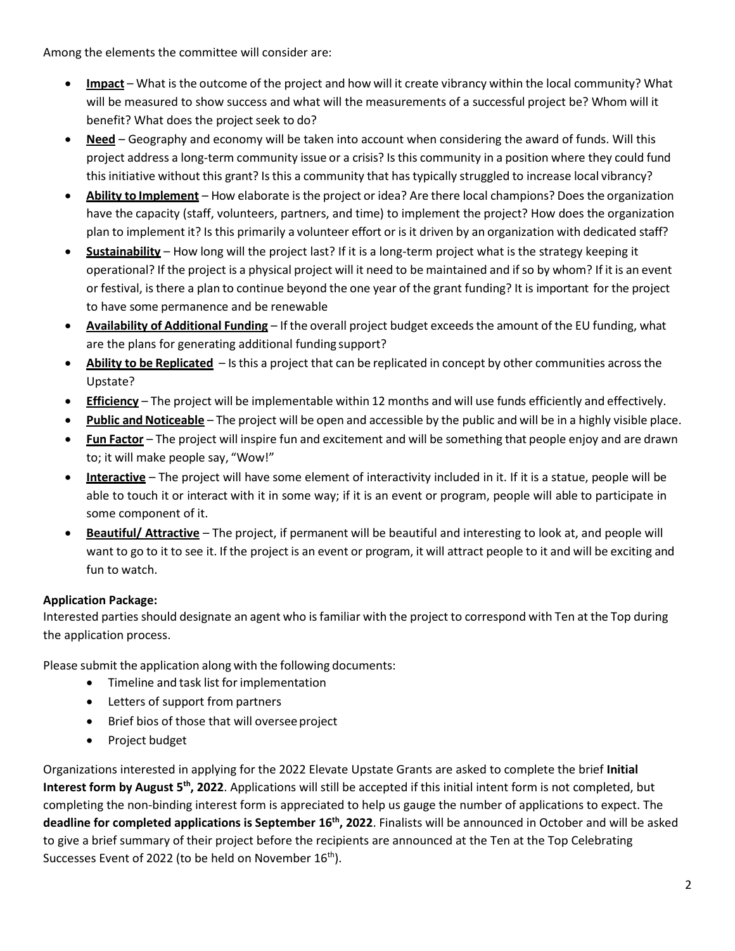Among the elements the committee will consider are:

- **Impact** What is the outcome of the project and how will it create vibrancy within the local community? What will be measured to show success and what will the measurements of a successful project be? Whom will it benefit? What does the project seek to do?
- **Need** Geography and economy will be taken into account when considering the award of funds. Will this project address a long-term community issue or a crisis? Is this community in a position where they could fund this initiative without this grant? Is this a community that has typically struggled to increase local vibrancy?
- **Ability to Implement** How elaborate is the project or idea? Are there local champions? Does the organization have the capacity (staff, volunteers, partners, and time) to implement the project? How does the organization plan to implement it? Is this primarily a volunteer effort or is it driven by an organization with dedicated staff?
- **Sustainability** How long will the project last? If it is a long-term project what is the strategy keeping it operational? If the project is a physical project will it need to be maintained and ifso by whom? If it is an event or festival, isthere a plan to continue beyond the one year of the grant funding? It is important for the project to have some permanence and be renewable
- **Availability of Additional Funding** If the overall project budget exceedsthe amount of the EU funding, what are the plans for generating additional funding support?
- **Ability to be Replicated** Isthis a project that can be replicated in concept by other communities acrossthe Upstate?
- **Efficiency** The project will be implementable within 12 months and will use funds efficiently and effectively.
- **Public and Noticeable** The project will be open and accessible by the public and will be in a highly visible place.
- **Fun Factor** The project will inspire fun and excitement and will be something that people enjoy and are drawn to; it will make people say, "Wow!"
- **Interactive** The project will have some element of interactivity included in it. If it is a statue, people will be able to touch it or interact with it in some way; if it is an event or program, people will able to participate in some component of it.
- **Beautiful/ Attractive** The project, if permanent will be beautiful and interesting to look at, and people will want to go to it to see it. If the project is an event or program, it will attract people to it and will be exciting and fun to watch.

# **Application Package:**

Interested parties should designate an agent who isfamiliar with the project to correspond with Ten at the Top during the application process.

Please submit the application along with the following documents:

- Timeline and task list for implementation
- Letters of support from partners
- Brief bios of those that will oversee project
- Project budget

Organizations interested in applying for the 2022 Elevate Upstate Grants are asked to complete the brief **Initial**  Interest form by August 5<sup>th</sup>, 2022. Applications will still be accepted if this initial intent form is not completed, but completing the non-binding interest form is appreciated to help us gauge the number of applications to expect. The **deadline for completed applications is September 16th, 2022**. Finalists will be announced in October and will be asked to give a brief summary of their project before the recipients are announced at the Ten at the Top Celebrating Successes Event of 2022 (to be held on November  $16^{\text{th}}$ ).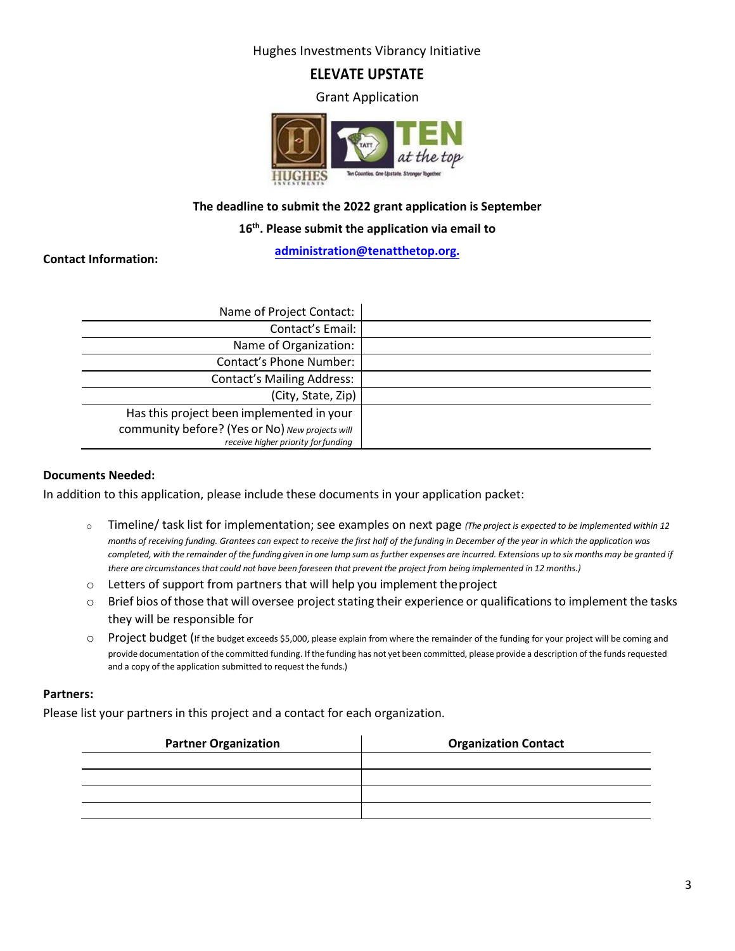Hughes Investments Vibrancy Initiative

# **ELEVATE UPSTATE**

Grant Application



# **The deadline to submit the 2022 grant application is September**

#### **16th. Please submit the application [via email to](mailto:dhybl@tenatthetop.org)**

**administration@tenatthetop.org.**

## **Contact Information:**

| Name of Project Contact:                        |  |
|-------------------------------------------------|--|
| Contact's Email:                                |  |
| Name of Organization:                           |  |
| Contact's Phone Number:                         |  |
| <b>Contact's Mailing Address:</b>               |  |
| (City, State, Zip)                              |  |
| Has this project been implemented in your       |  |
| community before? (Yes or No) New projects will |  |
| receive higher priority for funding             |  |

#### **Documents Needed:**

In addition to this application, please include these documents in your application packet:

- o Timeline/ task list for implementation; see examples on next page *(The project is expected to be implemented within 12 months of receiving funding. Grantees can expect to receive the first half of the funding in December of the year in which the application was*  completed, with the remainder of the funding given in one lump sum as further expenses are incurred. Extensions up to six months may be granted if there are circumstances that could not have been foreseen that prevent the project from being implemented in 12 months.)
- o Letters of support from partners that will help you implement theproject
- $\circ$  Brief bios of those that will oversee project stating their experience or qualifications to implement the tasks they will be responsible for
- O Project budget (If the budget exceeds \$5,000, please explain from where the remainder of the funding for your project will be coming and provide documentation of the committed funding. If the funding has not yet been committed, please provide a description of the funds requested and a copy of the application submitted to request the funds.)

#### **Partners:**

Please list your partners in this project and a contact for each organization.

| <b>Partner Organization</b> | <b>Organization Contact</b> |
|-----------------------------|-----------------------------|
|                             |                             |
|                             |                             |
|                             |                             |
|                             |                             |
|                             |                             |